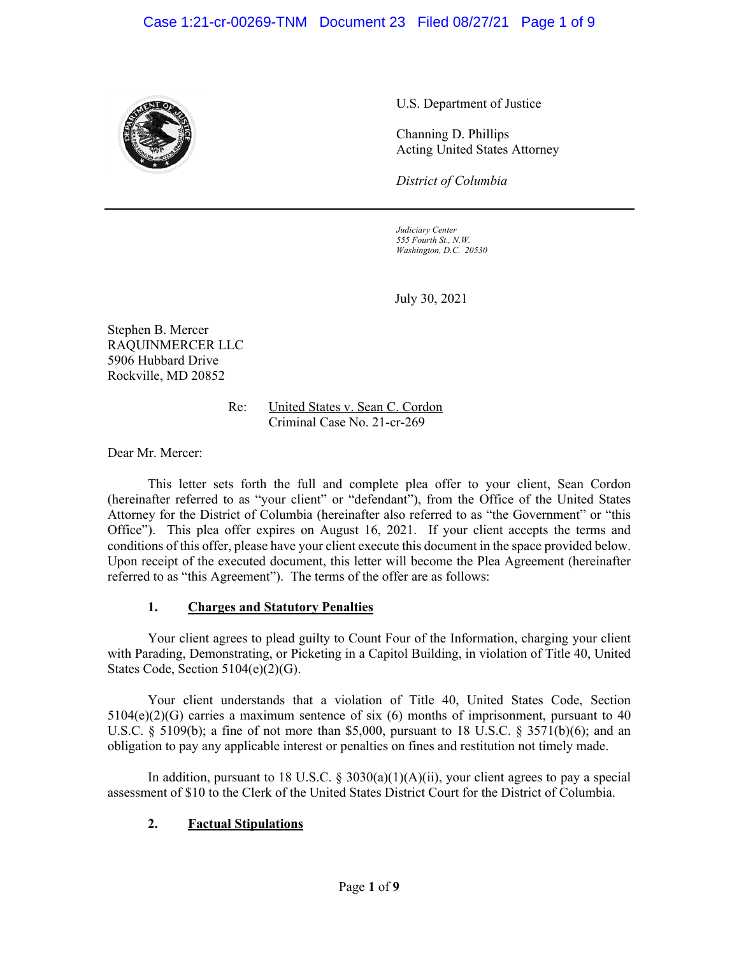# Case 1:21-cr-00269-TNM Document 23 Filed 08/27/21 Page 1 of 9



U.S. Department of Justice

Channing D. Phillips Acting United States Attorney

*District of Columbia*

*Judiciary Center 555 Fourth St., N.W. Washington, D.C. 20530*

July 30, 2021

Stephen B. Mercer RAQUINMERCER LLC 5906 Hubbard Drive Rockville, MD 20852

#### Re: United States v. Sean C. Cordon Criminal Case No. 21-cr-269

Dear Mr. Mercer:

This letter sets forth the full and complete plea offer to your client, Sean Cordon (hereinafter referred to as "your client" or "defendant"), from the Office of the United States Attorney for the District of Columbia (hereinafter also referred to as "the Government" or "this Office"). This plea offer expires on August 16, 2021. If your client accepts the terms and conditions of this offer, please have your client execute this document in the space provided below. Upon receipt of the executed document, this letter will become the Plea Agreement (hereinafter referred to as "this Agreement"). The terms of the offer are as follows:

#### **1. Charges and Statutory Penalties**

Your client agrees to plead guilty to Count Four of the Information, charging your client with Parading, Demonstrating, or Picketing in a Capitol Building, in violation of Title 40, United States Code, Section 5104(e)(2)(G).

Your client understands that a violation of Title 40, United States Code, Section  $5104(e)(2)(G)$  carries a maximum sentence of six (6) months of imprisonment, pursuant to 40 U.S.C. § 5109(b); a fine of not more than \$5,000, pursuant to 18 U.S.C. § 3571(b)(6); and an obligation to pay any applicable interest or penalties on fines and restitution not timely made.

In addition, pursuant to 18 U.S.C. § 3030(a)(1)(A)(ii), your client agrees to pay a special assessment of \$10 to the Clerk of the United States District Court for the District of Columbia.

## **2. Factual Stipulations**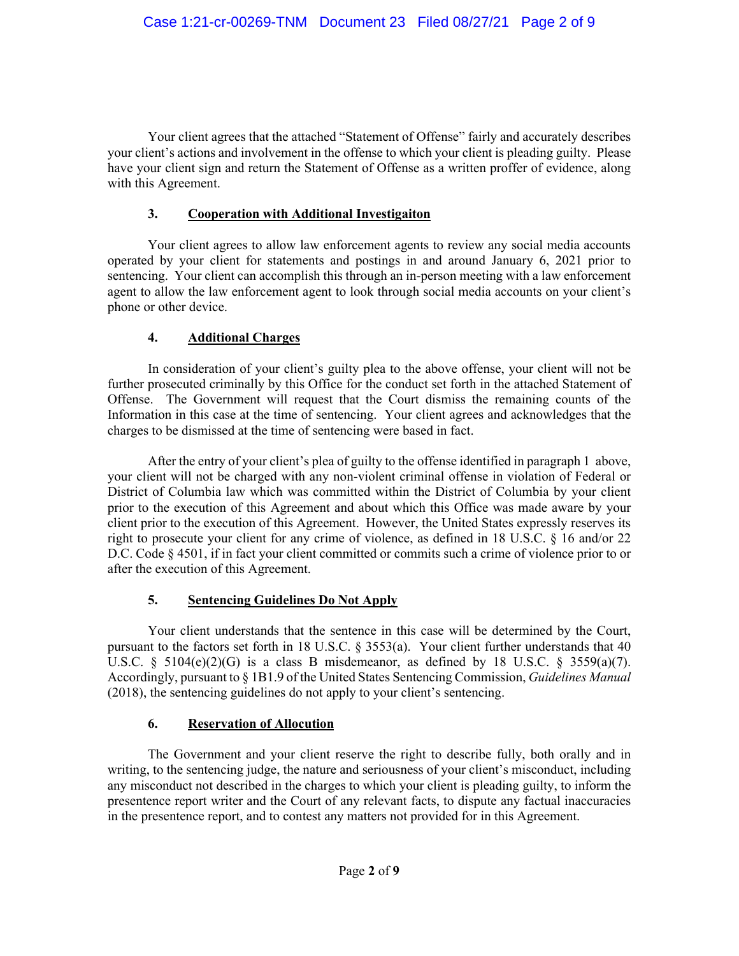Your client agrees that the attached "Statement of Offense" fairly and accurately describes your client's actions and involvement in the offense to which your client is pleading guilty. Please have your client sign and return the Statement of Offense as a written proffer of evidence, along with this Agreement.

# **3. Cooperation with Additional Investigaiton**

Your client agrees to allow law enforcement agents to review any social media accounts operated by your client for statements and postings in and around January 6, 2021 prior to sentencing. Your client can accomplish this through an in-person meeting with a law enforcement agent to allow the law enforcement agent to look through social media accounts on your client's phone or other device.

# **4. Additional Charges**

In consideration of your client's guilty plea to the above offense, your client will not be further prosecuted criminally by this Office for the conduct set forth in the attached Statement of Offense. The Government will request that the Court dismiss the remaining counts of the Information in this case at the time of sentencing. Your client agrees and acknowledges that the charges to be dismissed at the time of sentencing were based in fact.

After the entry of your client's plea of guilty to the offense identified in paragraph 1 above, your client will not be charged with any non-violent criminal offense in violation of Federal or District of Columbia law which was committed within the District of Columbia by your client prior to the execution of this Agreement and about which this Office was made aware by your client prior to the execution of this Agreement. However, the United States expressly reserves its right to prosecute your client for any crime of violence, as defined in 18 U.S.C. § 16 and/or 22 D.C. Code § 4501, if in fact your client committed or commits such a crime of violence prior to or after the execution of this Agreement.

# **5. Sentencing Guidelines Do Not Apply**

Your client understands that the sentence in this case will be determined by the Court, pursuant to the factors set forth in 18 U.S.C.  $\S$  3553(a). Your client further understands that 40 U.S.C.  $\S$  5104(e)(2)(G) is a class B misdemeanor, as defined by 18 U.S.C.  $\S$  3559(a)(7). Accordingly, pursuant to § 1B1.9 of the United States Sentencing Commission, *Guidelines Manual* (2018), the sentencing guidelines do not apply to your client's sentencing.

# **6. Reservation of Allocution**

The Government and your client reserve the right to describe fully, both orally and in writing, to the sentencing judge, the nature and seriousness of your client's misconduct, including any misconduct not described in the charges to which your client is pleading guilty, to inform the presentence report writer and the Court of any relevant facts, to dispute any factual inaccuracies in the presentence report, and to contest any matters not provided for in this Agreement.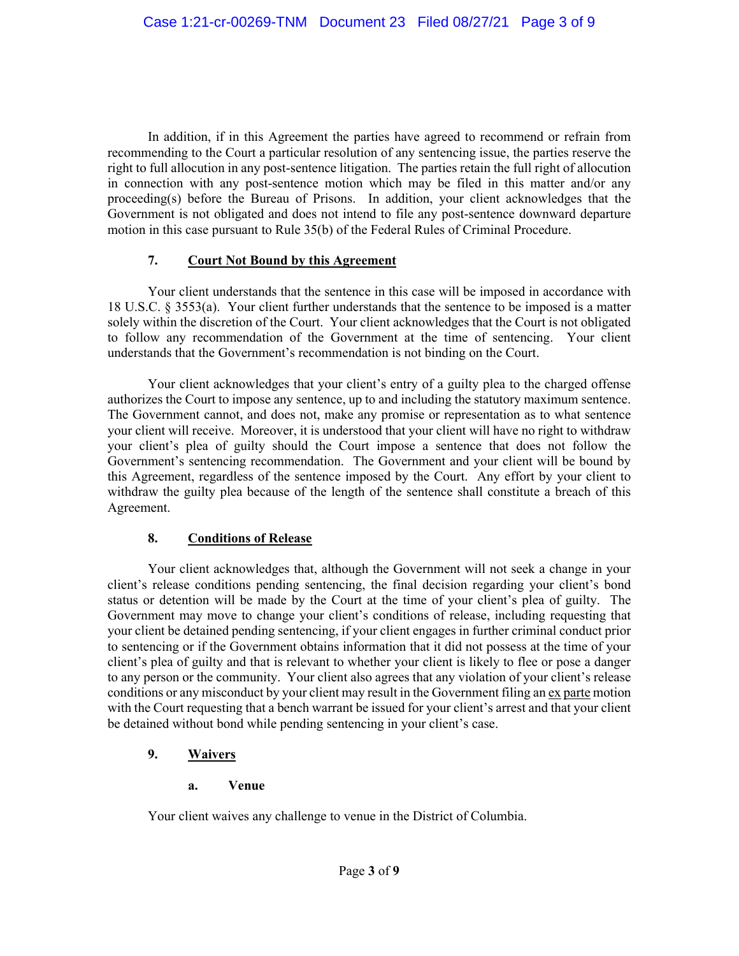In addition, if in this Agreement the parties have agreed to recommend or refrain from recommending to the Court a particular resolution of any sentencing issue, the parties reserve the right to full allocution in any post-sentence litigation. The parties retain the full right of allocution in connection with any post-sentence motion which may be filed in this matter and/or any proceeding(s) before the Bureau of Prisons. In addition, your client acknowledges that the Government is not obligated and does not intend to file any post-sentence downward departure motion in this case pursuant to Rule 35(b) of the Federal Rules of Criminal Procedure.

### **7. Court Not Bound by this Agreement**

Your client understands that the sentence in this case will be imposed in accordance with 18 U.S.C. § 3553(a). Your client further understands that the sentence to be imposed is a matter solely within the discretion of the Court. Your client acknowledges that the Court is not obligated to follow any recommendation of the Government at the time of sentencing. Your client understands that the Government's recommendation is not binding on the Court.

Your client acknowledges that your client's entry of a guilty plea to the charged offense authorizes the Court to impose any sentence, up to and including the statutory maximum sentence. The Government cannot, and does not, make any promise or representation as to what sentence your client will receive. Moreover, it is understood that your client will have no right to withdraw your client's plea of guilty should the Court impose a sentence that does not follow the Government's sentencing recommendation. The Government and your client will be bound by this Agreement, regardless of the sentence imposed by the Court. Any effort by your client to withdraw the guilty plea because of the length of the sentence shall constitute a breach of this Agreement.

## **8. Conditions of Release**

Your client acknowledges that, although the Government will not seek a change in your client's release conditions pending sentencing, the final decision regarding your client's bond status or detention will be made by the Court at the time of your client's plea of guilty. The Government may move to change your client's conditions of release, including requesting that your client be detained pending sentencing, if your client engages in further criminal conduct prior to sentencing or if the Government obtains information that it did not possess at the time of your client's plea of guilty and that is relevant to whether your client is likely to flee or pose a danger to any person or the community. Your client also agrees that any violation of your client's release conditions or any misconduct by your client may result in the Government filing an ex parte motion with the Court requesting that a bench warrant be issued for your client's arrest and that your client be detained without bond while pending sentencing in your client's case.

## **9. Waivers**

## **a. Venue**

Your client waives any challenge to venue in the District of Columbia.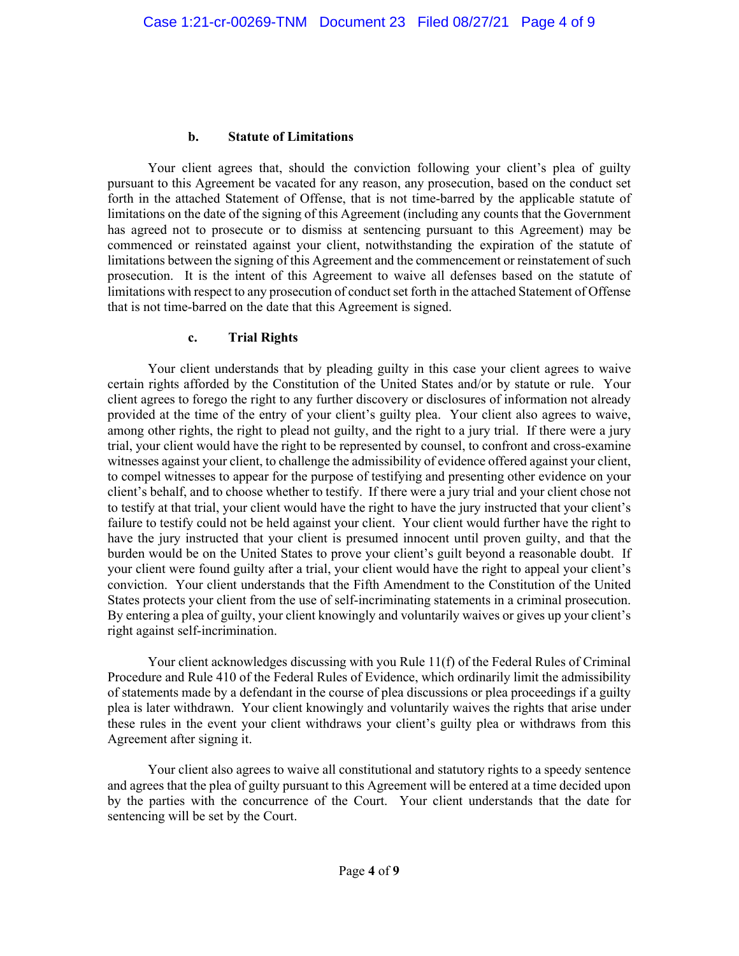#### **b. Statute of Limitations**

Your client agrees that, should the conviction following your client's plea of guilty pursuant to this Agreement be vacated for any reason, any prosecution, based on the conduct set forth in the attached Statement of Offense, that is not time-barred by the applicable statute of limitations on the date of the signing of this Agreement (including any counts that the Government has agreed not to prosecute or to dismiss at sentencing pursuant to this Agreement) may be commenced or reinstated against your client, notwithstanding the expiration of the statute of limitations between the signing of this Agreement and the commencement or reinstatement of such prosecution. It is the intent of this Agreement to waive all defenses based on the statute of limitations with respect to any prosecution of conduct set forth in the attached Statement of Offense that is not time-barred on the date that this Agreement is signed.

#### **c. Trial Rights**

Your client understands that by pleading guilty in this case your client agrees to waive certain rights afforded by the Constitution of the United States and/or by statute or rule. Your client agrees to forego the right to any further discovery or disclosures of information not already provided at the time of the entry of your client's guilty plea. Your client also agrees to waive, among other rights, the right to plead not guilty, and the right to a jury trial. If there were a jury trial, your client would have the right to be represented by counsel, to confront and cross-examine witnesses against your client, to challenge the admissibility of evidence offered against your client, to compel witnesses to appear for the purpose of testifying and presenting other evidence on your client's behalf, and to choose whether to testify. If there were a jury trial and your client chose not to testify at that trial, your client would have the right to have the jury instructed that your client's failure to testify could not be held against your client. Your client would further have the right to have the jury instructed that your client is presumed innocent until proven guilty, and that the burden would be on the United States to prove your client's guilt beyond a reasonable doubt. If your client were found guilty after a trial, your client would have the right to appeal your client's conviction. Your client understands that the Fifth Amendment to the Constitution of the United States protects your client from the use of self-incriminating statements in a criminal prosecution. By entering a plea of guilty, your client knowingly and voluntarily waives or gives up your client's right against self-incrimination.

Your client acknowledges discussing with you Rule 11(f) of the Federal Rules of Criminal Procedure and Rule 410 of the Federal Rules of Evidence, which ordinarily limit the admissibility of statements made by a defendant in the course of plea discussions or plea proceedings if a guilty plea is later withdrawn. Your client knowingly and voluntarily waives the rights that arise under these rules in the event your client withdraws your client's guilty plea or withdraws from this Agreement after signing it.

Your client also agrees to waive all constitutional and statutory rights to a speedy sentence and agrees that the plea of guilty pursuant to this Agreement will be entered at a time decided upon by the parties with the concurrence of the Court. Your client understands that the date for sentencing will be set by the Court.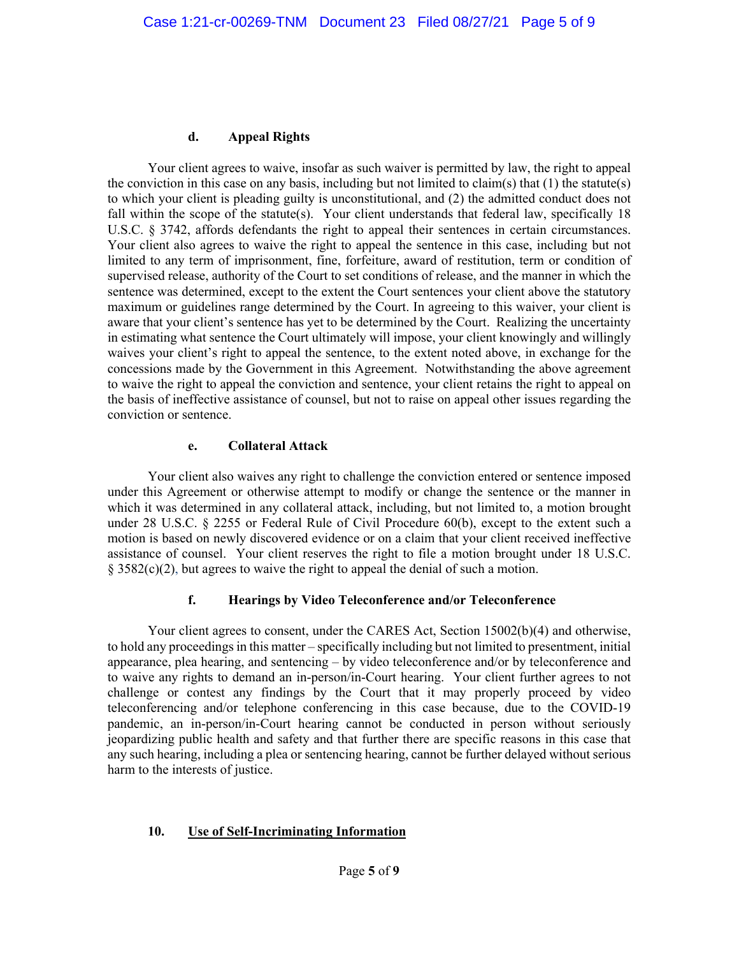### **d. Appeal Rights**

Your client agrees to waive, insofar as such waiver is permitted by law, the right to appeal the conviction in this case on any basis, including but not limited to claim(s) that (1) the statute(s) to which your client is pleading guilty is unconstitutional, and (2) the admitted conduct does not fall within the scope of the statute(s). Your client understands that federal law, specifically 18 U.S.C. § 3742, affords defendants the right to appeal their sentences in certain circumstances. Your client also agrees to waive the right to appeal the sentence in this case, including but not limited to any term of imprisonment, fine, forfeiture, award of restitution, term or condition of supervised release, authority of the Court to set conditions of release, and the manner in which the sentence was determined, except to the extent the Court sentences your client above the statutory maximum or guidelines range determined by the Court. In agreeing to this waiver, your client is aware that your client's sentence has yet to be determined by the Court. Realizing the uncertainty in estimating what sentence the Court ultimately will impose, your client knowingly and willingly waives your client's right to appeal the sentence, to the extent noted above, in exchange for the concessions made by the Government in this Agreement. Notwithstanding the above agreement to waive the right to appeal the conviction and sentence, your client retains the right to appeal on the basis of ineffective assistance of counsel, but not to raise on appeal other issues regarding the conviction or sentence.

### **e. Collateral Attack**

Your client also waives any right to challenge the conviction entered or sentence imposed under this Agreement or otherwise attempt to modify or change the sentence or the manner in which it was determined in any collateral attack, including, but not limited to, a motion brought under 28 U.S.C. § 2255 or Federal Rule of Civil Procedure 60(b), except to the extent such a motion is based on newly discovered evidence or on a claim that your client received ineffective assistance of counsel. Your client reserves the right to file a motion brought under 18 U.S.C. § 3582(c)(2), but agrees to waive the right to appeal the denial of such a motion.

## **f. Hearings by Video Teleconference and/or Teleconference**

Your client agrees to consent, under the CARES Act, Section 15002(b)(4) and otherwise, to hold any proceedings in this matter – specifically including but not limited to presentment, initial appearance, plea hearing, and sentencing – by video teleconference and/or by teleconference and to waive any rights to demand an in-person/in-Court hearing. Your client further agrees to not challenge or contest any findings by the Court that it may properly proceed by video teleconferencing and/or telephone conferencing in this case because, due to the COVID-19 pandemic, an in-person/in-Court hearing cannot be conducted in person without seriously jeopardizing public health and safety and that further there are specific reasons in this case that any such hearing, including a plea or sentencing hearing, cannot be further delayed without serious harm to the interests of justice.

## **10. Use of Self-Incriminating Information**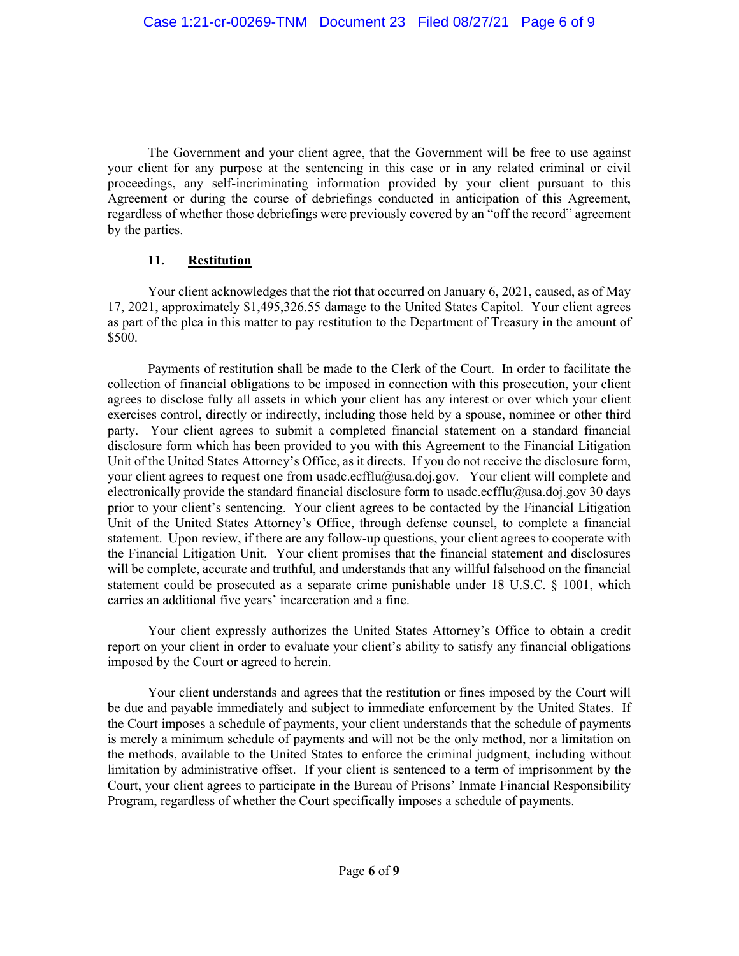The Government and your client agree, that the Government will be free to use against your client for any purpose at the sentencing in this case or in any related criminal or civil proceedings, any self-incriminating information provided by your client pursuant to this Agreement or during the course of debriefings conducted in anticipation of this Agreement, regardless of whether those debriefings were previously covered by an "off the record" agreement by the parties.

#### **11. Restitution**

Your client acknowledges that the riot that occurred on January 6, 2021, caused, as of May 17, 2021, approximately \$1,495,326.55 damage to the United States Capitol. Your client agrees as part of the plea in this matter to pay restitution to the Department of Treasury in the amount of \$500.

Payments of restitution shall be made to the Clerk of the Court. In order to facilitate the collection of financial obligations to be imposed in connection with this prosecution, your client agrees to disclose fully all assets in which your client has any interest or over which your client exercises control, directly or indirectly, including those held by a spouse, nominee or other third party. Your client agrees to submit a completed financial statement on a standard financial disclosure form which has been provided to you with this Agreement to the Financial Litigation Unit of the United States Attorney's Office, as it directs. If you do not receive the disclosure form, your client agrees to request one from usadc.ecfflu@usa.doj.gov. Your client will complete and electronically provide the standard financial disclosure form to usadc.ecfflu@usa.doj.gov 30 days prior to your client's sentencing. Your client agrees to be contacted by the Financial Litigation Unit of the United States Attorney's Office, through defense counsel, to complete a financial statement. Upon review, if there are any follow-up questions, your client agrees to cooperate with the Financial Litigation Unit. Your client promises that the financial statement and disclosures will be complete, accurate and truthful, and understands that any willful falsehood on the financial statement could be prosecuted as a separate crime punishable under 18 U.S.C. § 1001, which carries an additional five years' incarceration and a fine.

Your client expressly authorizes the United States Attorney's Office to obtain a credit report on your client in order to evaluate your client's ability to satisfy any financial obligations imposed by the Court or agreed to herein.

Your client understands and agrees that the restitution or fines imposed by the Court will be due and payable immediately and subject to immediate enforcement by the United States. If the Court imposes a schedule of payments, your client understands that the schedule of payments is merely a minimum schedule of payments and will not be the only method, nor a limitation on the methods, available to the United States to enforce the criminal judgment, including without limitation by administrative offset. If your client is sentenced to a term of imprisonment by the Court, your client agrees to participate in the Bureau of Prisons' Inmate Financial Responsibility Program, regardless of whether the Court specifically imposes a schedule of payments.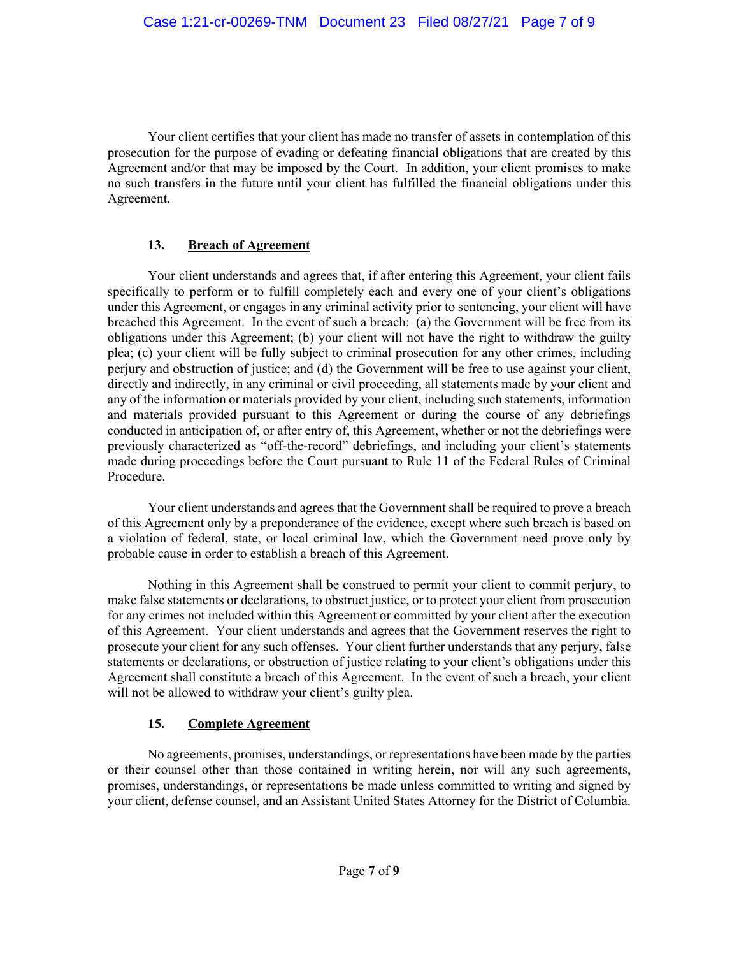Your client certifies that your client has made no transfer of assets in contemplation of this prosecution for the purpose of evading or defeating financial obligations that are created by this Agreement and/or that may be imposed by the Court. In addition, your client promises to make no such transfers in the future until your client has fulfilled the financial obligations under this Agreement.

## **13. Breach of Agreement**

Your client understands and agrees that, if after entering this Agreement, your client fails specifically to perform or to fulfill completely each and every one of your client's obligations under this Agreement, or engages in any criminal activity prior to sentencing, your client will have breached this Agreement. In the event of such a breach: (a) the Government will be free from its obligations under this Agreement; (b) your client will not have the right to withdraw the guilty plea; (c) your client will be fully subject to criminal prosecution for any other crimes, including perjury and obstruction of justice; and (d) the Government will be free to use against your client, directly and indirectly, in any criminal or civil proceeding, all statements made by your client and any of the information or materials provided by your client, including such statements, information and materials provided pursuant to this Agreement or during the course of any debriefings conducted in anticipation of, or after entry of, this Agreement, whether or not the debriefings were previously characterized as "off-the-record" debriefings, and including your client's statements made during proceedings before the Court pursuant to Rule 11 of the Federal Rules of Criminal Procedure.

Your client understands and agrees that the Government shall be required to prove a breach of this Agreement only by a preponderance of the evidence, except where such breach is based on a violation of federal, state, or local criminal law, which the Government need prove only by probable cause in order to establish a breach of this Agreement.

Nothing in this Agreement shall be construed to permit your client to commit perjury, to make false statements or declarations, to obstruct justice, or to protect your client from prosecution for any crimes not included within this Agreement or committed by your client after the execution of this Agreement. Your client understands and agrees that the Government reserves the right to prosecute your client for any such offenses. Your client further understands that any perjury, false statements or declarations, or obstruction of justice relating to your client's obligations under this Agreement shall constitute a breach of this Agreement. In the event of such a breach, your client will not be allowed to withdraw your client's guilty plea.

## **15. Complete Agreement**

No agreements, promises, understandings, or representations have been made by the parties or their counsel other than those contained in writing herein, nor will any such agreements, promises, understandings, or representations be made unless committed to writing and signed by your client, defense counsel, and an Assistant United States Attorney for the District of Columbia.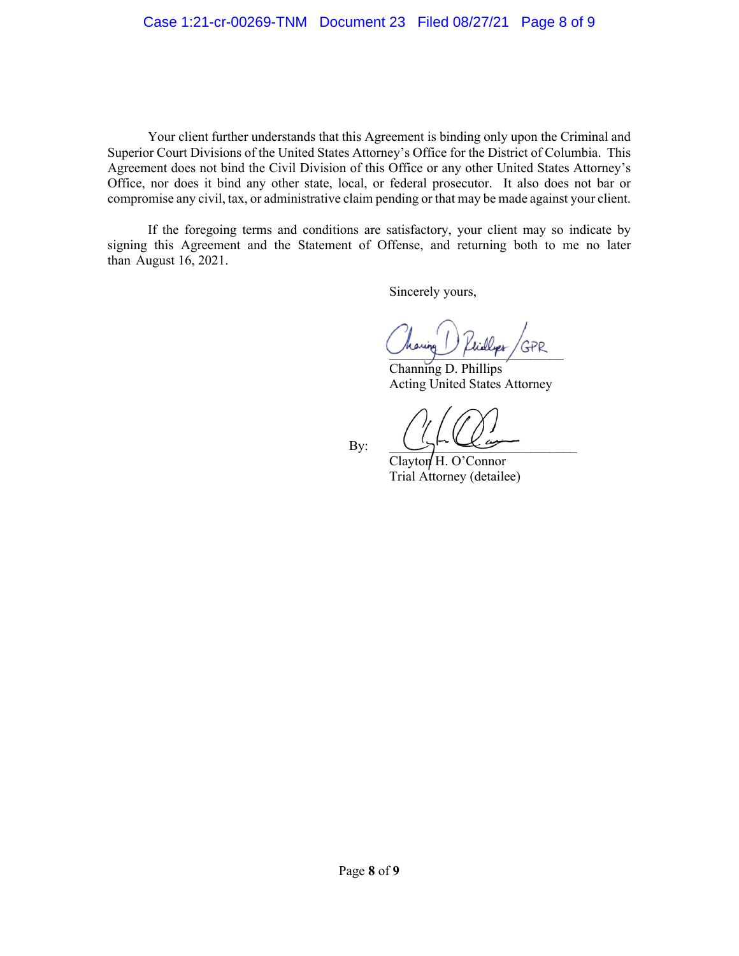### Case 1:21-cr-00269-TNM Document 23 Filed 08/27/21 Page 8 of 9

Your client further understands that this Agreement is binding only upon the Criminal and Superior Court Divisions of the United States Attorney's Office for the District of Columbia. This Agreement does not bind the Civil Division of this Office or any other United States Attorney's Office, nor does it bind any other state, local, or federal prosecutor. It also does not bar or compromise any civil, tax, or administrative claim pending or that may be made against your client.

If the foregoing terms and conditions are satisfactory, your client may so indicate by signing this Agreement and the Statement of Offense, and returning both to me no later than August 16, 2021.

Sincerely yours,

\_\_\_\_\_\_\_\_\_\_\_\_\_\_\_\_\_\_\_\_\_\_\_\_\_\_

Channing D. Phillips Acting United States Attorney

By:  $\bigcup_{\gamma\vdash\gamma}\bigcup_{\gamma\in\gamma}\bigcup_{\gamma\in\gamma}$ 

Clayton H. O'Connor Trial Attorney (detailee)